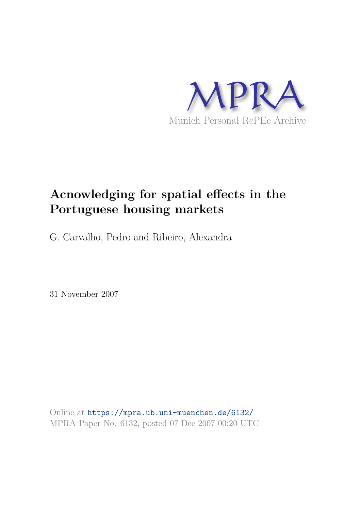

# **Acnowledging for spatial effects in the Portuguese housing markets**

G. Carvalho, Pedro and Ribeiro, Alexandra

31 November 2007

Online at https://mpra.ub.uni-muenchen.de/6132/ MPRA Paper No. 6132, posted 07 Dec 2007 00:20 UTC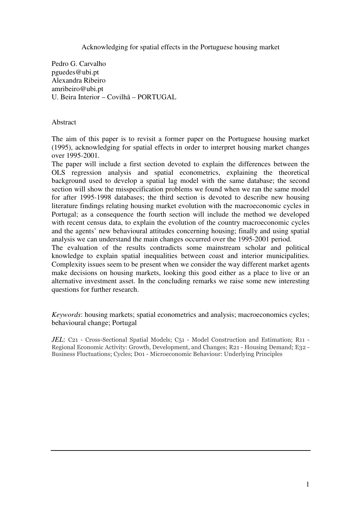Acknowledging for spatial effects in the Portuguese housing market

Pedro G. Carvalho pguedes@ubi.pt Alexandra Ribeiro amribeiro@ubi.pt U. Beira Interior – Covilhã – PORTUGAL

## Abstract

The aim of this paper is to revisit a former paper on the Portuguese housing market (1995), acknowledging for spatial effects in order to interpret housing market changes over 1995-2001.

The paper will include a first section devoted to explain the differences between the OLS regression analysis and spatial econometrics, explaining the theoretical background used to develop a spatial lag model with the same database; the second section will show the misspecification problems we found when we ran the same model for after 1995-1998 databases; the third section is devoted to describe new housing literature findings relating housing market evolution with the macroeconomic cycles in Portugal; as a consequence the fourth section will include the method we developed with recent census data, to explain the evolution of the country macroeconomic cycles and the agents' new behavioural attitudes concerning housing; finally and using spatial analysis we can understand the main changes occurred over the 1995-2001 period.

The evaluation of the results contradicts some mainstream scholar and political knowledge to explain spatial inequalities between coast and interior municipalities. Complexity issues seem to be present when we consider the way different market agents make decisions on housing markets, looking this good either as a place to live or an alternative investment asset. In the concluding remarks we raise some new interesting questions for further research.

*Keywords*: housing markets; spatial econometrics and analysis; macroeconomics cycles; behavioural change; Portugal

JEL: C21 - Cross-Sectional Spatial Models; C51 - Model Construction and Estimation; R11 -Regional Economic Activity: Growth, Development, and Changes; R21 - Housing Demand; E32 -Business Fluctuations; Cycles; D01 - Microeconomic Behaviour: Underlying Principles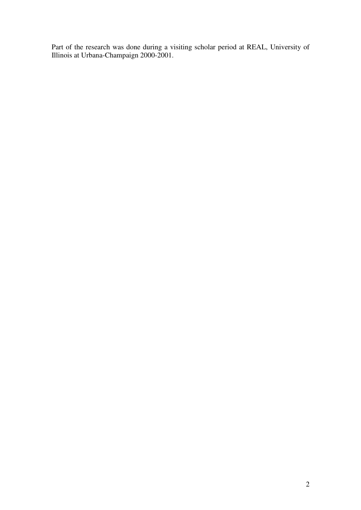Part of the research was done during a visiting scholar period at REAL, University of Illinois at Urbana-Champaign 2000-2001.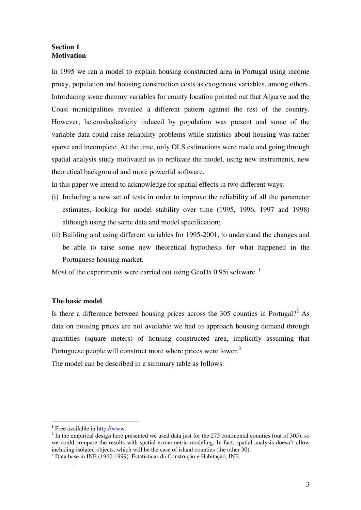# **Section 1 Motivation**

In 1995 we ran a model to explain housing constructed area in Portugal using income proxy, population and housing construction costs as exogenous variables, among others. Introducing some dummy variables for county location pointed out that Algarve and the Coast municipalities revealed a different pattern against the rest of the country. However, heteroskedasticity induced by population was present and some of the variable data could raise reliability problems while statistics about housing was rather sparse and incomplete. At the time, only OLS estimations were made and going through spatial analysis study motivated us to replicate the model, using new instruments, new theoretical background and more powerful software.

In this paper we intend to acknowledge for spatial effects in two different ways:

- (i) Including a new set of tests in order to improve the reliability of all the parameter estimates, looking for model stability over time (1995, 1996, 1997 and 1998) although using the same data and model specification;
- (ii) Building and using different variables for 1995-2001, to understand the changes and be able to raise some new theoretical hypothesis for what happened in the Portuguese housing market.

Most of the experiments were carried out using GeoDa 0.95i software.<sup>1</sup>

# **The basic model**

Is there a difference between housing prices across the  $305$  counties in Portugal?<sup>2</sup> As data on housing prices are not available we had to approach housing demand through quantities (square meters) of housing constructed area, implicitly assuming that Portuguese people will construct more where prices were lower.<sup>3</sup>

The model can be described in a summary table as follows:

 $\overline{a}$ 

 $<sup>1</sup>$  Free available in http://www.</sup>

<sup>&</sup>lt;sup>2</sup> In the empirical design here presented we used data just for the 275 continental counties (out of 305), so we could compare the results with spatial econometric modeling. In fact, spatial analysis doesn't allow including isolated objects, which will be the case of island counties (the other 30).

<sup>3</sup> Data base in INE (1960-1999). Estatísticas da Construção e Habitação, INE. .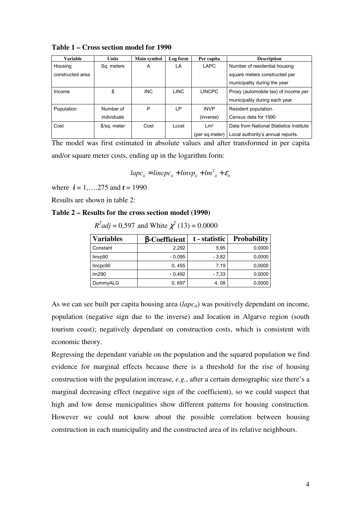| <b>Variable</b>  | <b>Units</b> | <b>Main symbol</b> | Log form    | Per capita      | <b>Description</b>                      |
|------------------|--------------|--------------------|-------------|-----------------|-----------------------------------------|
| Housing          | Sq. meters   | A                  | LA          | <b>LAPC</b>     | Number of residential housing           |
| constructed area |              |                    |             |                 | square meters constructed per           |
|                  |              |                    |             |                 | municipality during the year            |
| Income           | \$           | <b>INC</b>         | <b>LINC</b> | <b>LINCPC</b>   | Proxy (automobile tax) of income per    |
|                  |              |                    |             |                 | municipality during each year           |
| Population       | Number of    | P                  | LР          | <b>INVP</b>     | Resident population.                    |
|                  | individuals  |                    |             | (inverse)       | Census data for 1990                    |
| Cost             | \$/sq. meter | Cost               | Lcost       | Lm <sup>2</sup> | Data from National Statistics Institute |
|                  |              |                    |             | (per sq.meter)  | Local authority's annual reports.       |

**Table 1 – Cross section model for 1990** 

The model was first estimated in absolute values and after transformed in per capita and/or square meter costs, ending up in the logarithm form:

$$
lapc_{it} = lincpc_{it} + linvp_{it} + lm^{2}_{it} + \varepsilon_{it}
$$

where  $i = 1,....275$  and  $t = 1990$ 

Results are shown in table 2:

#### **Table 2 – Results for the cross section model (1990)**

 $R^2$ *adj* = 0,597 and White  $\chi^2$  (13) = 0.0000

| <b>Variables</b> | <b>B-Coefficient</b> | t - statistic | <b>Probability</b> |
|------------------|----------------------|---------------|--------------------|
| Constant         | 2,292                | 5,95          | 0,0000             |
| linvp90          | $-0.095$             | $-3,82$       | 0,0000             |
| lincpc90         | 0.455                | 7.19          | 0,0000             |
| Im290            | $-0.492$             | $-7,33$       | 0,0000             |
| DummyALG         | 0,697                | 4,08          | 0,0000             |

As we can see built per capita housing area (*lapc<sub>it</sub>*) was positively dependant on income, population (negative sign due to the inverse) and location in Algarve region (south tourism coast); negatively dependant on construction costs, which is consistent with economic theory.

Regressing the dependant variable on the population and the squared population we find evidence for marginal effects because there is a threshold for the rise of housing construction with the population increase, *e.g.*, after a certain demographic size there's a marginal decreasing effect (negative sign of the coefficient), so we could suspect that high and low dense municipalities show different patterns for housing construction. However we could not know about the possible correlation between housing construction in each municipality and the constructed area of its relative neighbours.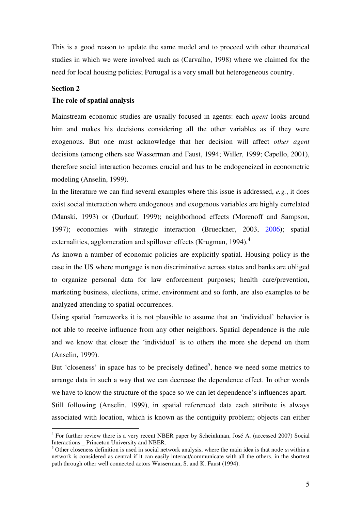This is a good reason to update the same model and to proceed with other theoretical studies in which we were involved such as (Carvalho, 1998) where we claimed for the need for local housing policies; Portugal is a very small but heterogeneous country.

## **Section 2**

#### **The role of spatial analysis**

Mainstream economic studies are usually focused in agents: each *agent* looks around him and makes his decisions considering all the other variables as if they were exogenous. But one must acknowledge that her decision will affect *other agent* decisions (among others see Wasserman and Faust, 1994; Willer, 1999; Capello, 2001), therefore social interaction becomes crucial and has to be endogeneized in econometric modeling (Anselin, 1999).

In the literature we can find several examples where this issue is addressed, *e.g.*, it does exist social interaction where endogenous and exogenous variables are highly correlated (Manski, 1993) or (Durlauf, 1999); neighborhood effects (Morenoff and Sampson, 1997); economies with strategic interaction (Brueckner, 2003, 2006); spatial externalities, agglomeration and spillover effects (Krugman, 1994).<sup>4</sup>

As known a number of economic policies are explicitly spatial. Housing policy is the case in the US where mortgage is non discriminative across states and banks are obliged to organize personal data for law enforcement purposes; health care/prevention, marketing business, elections, crime, environment and so forth, are also examples to be analyzed attending to spatial occurrences.

Using spatial frameworks it is not plausible to assume that an 'individual' behavior is not able to receive influence from any other neighbors. Spatial dependence is the rule and we know that closer the 'individual' is to others the more she depend on them (Anselin, 1999).

But 'closeness' in space has to be precisely defined<sup>5</sup>, hence we need some metrics to arrange data in such a way that we can decrease the dependence effect. In other words we have to know the structure of the space so we can let dependence's influences apart. Still following (Anselin, 1999), in spatial referenced data each attribute is always

associated with location, which is known as the contiguity problem; objects can either

 $\overline{a}$ <sup>4</sup> For further review there is a very recent NBER paper by Scheinkman, José A. (accessed 2007) Social Interactions \_ Princeton University and NBER.

 $^5$  Other closeness definition is used in social network analysis, where the main idea is that node  $a_i$  within a network is considered as central if it can easily interact/communicate with all the others, in the shortest path through other well connected actors Wasserman, S. and K. Faust (1994).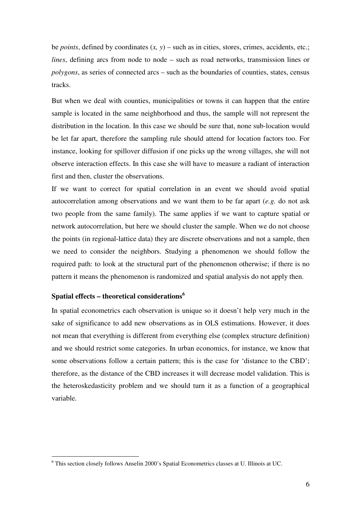be *points*, defined by coordinates (*x, y*) – such as in cities, stores, crimes, accidents, etc.; *lines*, defining arcs from node to node – such as road networks, transmission lines or *polygons*, as series of connected arcs – such as the boundaries of counties, states, census tracks.

But when we deal with counties, municipalities or towns it can happen that the entire sample is located in the same neighborhood and thus, the sample will not represent the distribution in the location. In this case we should be sure that, none sub-location would be let far apart, therefore the sampling rule should attend for location factors too. For instance, looking for spillover diffusion if one picks up the wrong villages, she will not observe interaction effects. In this case she will have to measure a radiant of interaction first and then, cluster the observations.

If we want to correct for spatial correlation in an event we should avoid spatial autocorrelation among observations and we want them to be far apart (*e.g.* do not ask two people from the same family). The same applies if we want to capture spatial or network autocorrelation, but here we should cluster the sample. When we do not choose the points (in regional-lattice data) they are discrete observations and not a sample, then we need to consider the neighbors. Studying a phenomenon we should follow the required path: to look at the structural part of the phenomenon otherwise; if there is no pattern it means the phenomenon is randomized and spatial analysis do not apply then.

# **Spatial effects – theoretical considerations<sup>6</sup>**

In spatial econometrics each observation is unique so it doesn't help very much in the sake of significance to add new observations as in OLS estimations. However, it does not mean that everything is different from everything else (complex structure definition) and we should restrict some categories. In urban economics, for instance, we know that some observations follow a certain pattern; this is the case for 'distance to the CBD'; therefore, as the distance of the CBD increases it will decrease model validation. This is the heteroskedasticity problem and we should turn it as a function of a geographical variable.

 6 This section closely follows Anselin 2000's Spatial Econometrics classes at U. Illinois at UC.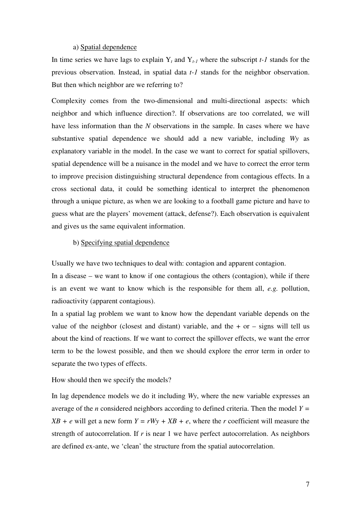#### a) Spatial dependence

In time series we have lags to explain  $Y_t$  and  $Y_{t-1}$  where the subscript  $t-1$  stands for the previous observation. Instead, in spatial data *t-1* stands for the neighbor observation. But then which neighbor are we referring to?

Complexity comes from the two-dimensional and multi-directional aspects: which neighbor and which influence direction?. If observations are too correlated, we will have less information than the *N* observations in the sample. In cases where we have substantive spatial dependence we should add a new variable, including *Wy* as explanatory variable in the model. In the case we want to correct for spatial spillovers, spatial dependence will be a nuisance in the model and we have to correct the error term to improve precision distinguishing structural dependence from contagious effects. In a cross sectional data, it could be something identical to interpret the phenomenon through a unique picture, as when we are looking to a football game picture and have to guess what are the players' movement (attack, defense?). Each observation is equivalent and gives us the same equivalent information.

# b) Specifying spatial dependence

Usually we have two techniques to deal with: contagion and apparent contagion.

In a disease – we want to know if one contagious the others (contagion), while if there is an event we want to know which is the responsible for them all, *e.g.* pollution, radioactivity (apparent contagious).

In a spatial lag problem we want to know how the dependant variable depends on the value of the neighbor (closest and distant) variable, and the  $+$  or  $-$  signs will tell us about the kind of reactions. If we want to correct the spillover effects, we want the error term to be the lowest possible, and then we should explore the error term in order to separate the two types of effects.

How should then we specify the models?

In lag dependence models we do it including *Wy*, where the new variable expresses an average of the *n* considered neighbors according to defined criteria. Then the model *Y =*   $XB + e$  will get a new form  $Y = rWy + XB + e$ , where the *r* coefficient will measure the strength of autocorrelation. If *r* is near 1 we have perfect autocorrelation. As neighbors are defined ex-ante, we 'clean' the structure from the spatial autocorrelation.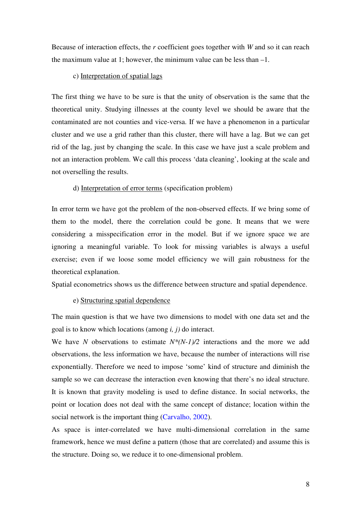Because of interaction effects, the *r* coefficient goes together with *W* and so it can reach the maximum value at 1; however, the minimum value can be less than  $-1$ .

## c) Interpretation of spatial lags

The first thing we have to be sure is that the unity of observation is the same that the theoretical unity. Studying illnesses at the county level we should be aware that the contaminated are not counties and vice-versa. If we have a phenomenon in a particular cluster and we use a grid rather than this cluster, there will have a lag. But we can get rid of the lag, just by changing the scale. In this case we have just a scale problem and not an interaction problem. We call this process 'data cleaning', looking at the scale and not overselling the results.

## d) Interpretation of error terms (specification problem)

In error term we have got the problem of the non-observed effects. If we bring some of them to the model, there the correlation could be gone. It means that we were considering a misspecification error in the model. But if we ignore space we are ignoring a meaningful variable. To look for missing variables is always a useful exercise; even if we loose some model efficiency we will gain robustness for the theoretical explanation.

Spatial econometrics shows us the difference between structure and spatial dependence.

#### e) Structuring spatial dependence

The main question is that we have two dimensions to model with one data set and the goal is to know which locations (among *i, j)* do interact.

We have *N* observations to estimate  $N^*(N-1)/2$  interactions and the more we add observations, the less information we have, because the number of interactions will rise exponentially. Therefore we need to impose 'some' kind of structure and diminish the sample so we can decrease the interaction even knowing that there's no ideal structure. It is known that gravity modeling is used to define distance. In social networks, the point or location does not deal with the same concept of distance; location within the social network is the important thing (Carvalho, 2002).

As space is inter-correlated we have multi-dimensional correlation in the same framework, hence we must define a pattern (those that are correlated) and assume this is the structure. Doing so, we reduce it to one-dimensional problem.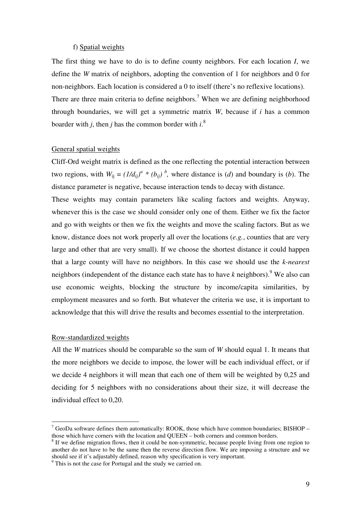#### f) Spatial weights

The first thing we have to do is to define county neighbors. For each location *I*, we define the *W* matrix of neighbors, adopting the convention of 1 for neighbors and 0 for non-neighbors. Each location is considered a 0 to itself (there's no reflexive locations). There are three main criteria to define neighbors.<sup>7</sup> When we are defining neighborhood through boundaries, we will get a symmetric matrix *W*, because if *i* has a common boarder with *j*, then *j* has the common border with *i*. 8

#### General spatial weights

Cliff-Ord weight matrix is defined as the one reflecting the potential interaction between two regions, with  $W_{ij} = (1/d_{ij})^a * (b_{ij})^b$ , where distance is (*d*) and boundary is (*b*). The distance parameter is negative, because interaction tends to decay with distance.

These weights may contain parameters like scaling factors and weights. Anyway, whenever this is the case we should consider only one of them. Either we fix the factor and go with weights or then we fix the weights and move the scaling factors. But as we know, distance does not work properly all over the locations (*e.g.*, counties that are very large and other that are very small). If we choose the shortest distance it could happen that a large county will have no neighbors. In this case we should use the *k-nearest* neighbors (independent of the distance each state has to have  $k$  neighbors). <sup>9</sup> We also can use economic weights, blocking the structure by income/capita similarities, by employment measures and so forth. But whatever the criteria we use, it is important to acknowledge that this will drive the results and becomes essential to the interpretation.

#### Row-standardized weights

 $\overline{a}$ 

All the *W* matrices should be comparable so the sum of *W* should equal 1. It means that the more neighbors we decide to impose, the lower will be each individual effect, or if we decide 4 neighbors it will mean that each one of them will be weighted by 0,25 and deciding for 5 neighbors with no considerations about their size, it will decrease the individual effect to 0,20.

 $<sup>7</sup>$  GeoDa software defines them automatically: ROOK, those which have common boundaries; BISHOP –</sup> those which have corners with the location and QUEEN – both corners and common borders.

<sup>&</sup>lt;sup>8</sup> If we define migration flows, then it could be non-symmetric, because people living from one region to another do not have to be the same then the reverse direction flow. We are imposing a structure and we should see if it's adjustably defined, reason why specification is very important.

<sup>&</sup>lt;sup>9</sup> This is not the case for Portugal and the study we carried on.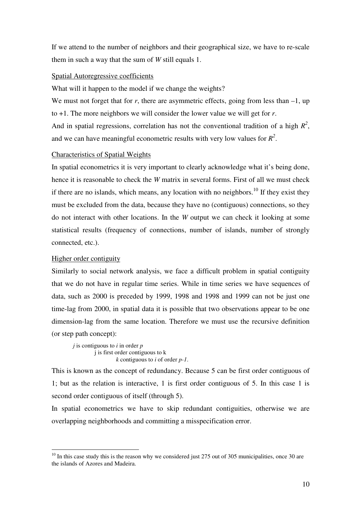If we attend to the number of neighbors and their geographical size, we have to re-scale them in such a way that the sum of *W* still equals 1.

# Spatial Autoregressive coefficients

What will it happen to the model if we change the weights?

We must not forget that for  $r$ , there are asymmetric effects, going from less than  $-1$ , up to +1. The more neighbors we will consider the lower value we will get for *r*. And in spatial regressions, correlation has not the conventional tradition of a high  $R^2$ , and we can have meaningful econometric results with very low values for  $R^2$ .

# Characteristics of Spatial Weights

In spatial econometrics it is very important to clearly acknowledge what it's being done, hence it is reasonable to check the *W* matrix in several forms. First of all we must check if there are no islands, which means, any location with no neighbors.<sup>10</sup> If they exist they must be excluded from the data, because they have no (contiguous) connections, so they do not interact with other locations. In the *W* output we can check it looking at some statistical results (frequency of connections, number of islands, number of strongly connected, etc.).

# Higher order contiguity

 $\overline{a}$ 

Similarly to social network analysis, we face a difficult problem in spatial contiguity that we do not have in regular time series. While in time series we have sequences of data, such as 2000 is preceded by 1999, 1998 and 1998 and 1999 can not be just one time-lag from 2000, in spatial data it is possible that two observations appear to be one dimension-lag from the same location. Therefore we must use the recursive definition (or step path concept):

```
j is contiguous to i in order p
j is first order contiguous to k 
          k contiguous to i of order p-1.
```
This is known as the concept of redundancy. Because 5 can be first order contiguous of 1; but as the relation is interactive, 1 is first order contiguous of 5. In this case 1 is second order contiguous of itself (through 5).

In spatial econometrics we have to skip redundant contiguities, otherwise we are overlapping neighborhoods and committing a misspecification error.

 $10$  In this case study this is the reason why we considered just 275 out of 305 municipalities, once 30 are the islands of Azores and Madeira.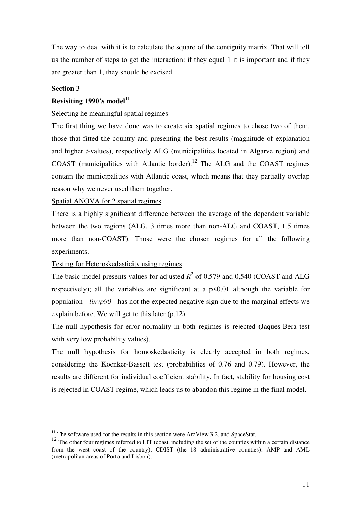The way to deal with it is to calculate the square of the contiguity matrix. That will tell us the number of steps to get the interaction: if they equal 1 it is important and if they are greater than 1, they should be excised.

## **Section 3**

 $\overline{a}$ 

# **Revisiting 1990's model<sup>11</sup>**

## Selecting he meaningful spatial regimes

The first thing we have done was to create six spatial regimes to chose two of them, those that fitted the country and presenting the best results (magnitude of explanation and higher *t*-values), respectively ALG (municipalities located in Algarve region) and COAST (municipalities with Atlantic border).<sup>12</sup> The ALG and the COAST regimes contain the municipalities with Atlantic coast, which means that they partially overlap reason why we never used them together.

Spatial ANOVA for 2 spatial regimes

There is a highly significant difference between the average of the dependent variable between the two regions (ALG, 3 times more than non-ALG and COAST, 1.5 times more than non-COAST). Those were the chosen regimes for all the following experiments.

Testing for Heteroskedasticity using regimes

The basic model presents values for adjusted  $R^2$  of 0,579 and 0,540 (COAST and ALG respectively); all the variables are significant at a  $p<0.01$  although the variable for population - *linvp90* - has not the expected negative sign due to the marginal effects we explain before. We will get to this later (p.12).

The null hypothesis for error normality in both regimes is rejected (Jaques-Bera test with very low probability values).

The null hypothesis for homoskedasticity is clearly accepted in both regimes, considering the Koenker-Bassett test (probabilities of 0.76 and 0.79). However, the results are different for individual coefficient stability. In fact, stability for housing cost is rejected in COAST regime, which leads us to abandon this regime in the final model.

 $11$ <sup>11</sup> The software used for the results in this section were ArcView 3.2. and SpaceStat.

 $12$  The other four regimes referred to LIT (coast, including the set of the counties within a certain distance from the west coast of the country); CDIST (the 18 administrative counties); AMP and AML (metropolitan areas of Porto and Lisbon).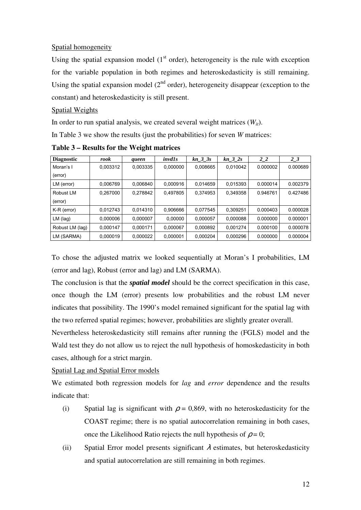# Spatial homogeneity

Using the spatial expansion model  $(1<sup>st</sup> order)$ , heterogeneity is the rule with exception for the variable population in both regimes and heteroskedasticity is still remaining. Using the spatial expansion model  $(2<sup>nd</sup> order)$ , heterogeneity disappear (exception to the constant) and heteroskedasticity is still present.

# Spatial Weights

In order to run spatial analysis, we created several weight matrices  $(W_{it})$ .

In Table 3 we show the results (just the probabilities) for seven *W* matrices:

| <b>Diagnostic</b> | rook     | queen    | <i>invd1s</i> | $kn$ $3$ $3s$ | $kn$ 3 $2s$ | $2_{-2}$ | $2_{-}3$ |
|-------------------|----------|----------|---------------|---------------|-------------|----------|----------|
| Moran's I         | 0.003312 | 0,003335 | 0,000000      | 0,008665      | 0.010042    | 0.000002 | 0.000689 |
| (error)           |          |          |               |               |             |          |          |
| LM (error)        | 0,006769 | 0,006840 | 0.000916      | 0,014659      | 0,015393    | 0.000014 | 0.002379 |
| Robust LM         | 0.267000 | 0,278842 | 0.497805      | 0,374953      | 0.349358    | 0.946761 | 0.427486 |
| (error)           |          |          |               |               |             |          |          |
| K-R (error)       | 0,012743 | 0,014310 | 0.906666      | 0.077545      | 0.309251    | 0.000403 | 0.000028 |
| $LM$ (lag)        | 0.000006 | 0,000007 | 0.00000       | 0,000057      | 0,000088    | 0.000000 | 0.000001 |
| Robust LM (lag)   | 0,000147 | 0.000171 | 0.000067      | 0.000892      | 0.001274    | 0.000100 | 0.000078 |
| LM (SARMA)        | 0,000019 | 0,000022 | 0,000001      | 0,000204      | 0,000296    | 0.000000 | 0.000004 |

**Table 3 – Results for the Weight matrices** 

To chose the adjusted matrix we looked sequentially at Moran's I probabilities, LM (error and lag), Robust (error and lag) and LM (SARMA).

The conclusion is that the *spatial model* should be the correct specification in this case, once though the LM (error) presents low probabilities and the robust LM never indicates that possibility. The 1990's model remained significant for the spatial lag with the two referred spatial regimes; however, probabilities are slightly greater overall.

Nevertheless heteroskedasticity still remains after running the (FGLS) model and the Wald test they do not allow us to reject the null hypothesis of homoskedasticity in both cases, although for a strict margin.

Spatial Lag and Spatial Error models

We estimated both regression models for *lag* and *error* dependence and the results indicate that:

- (i) Spatial lag is significant with  $\rho = 0.869$ , with no heteroskedasticity for the COAST regime; there is no spatial autocorrelation remaining in both cases, once the Likelihood Ratio rejects the null hypothesis of  $\rho = 0$ ;
- (ii) Spatial Error model presents significant  $\lambda$  estimates, but heteroskedasticity and spatial autocorrelation are still remaining in both regimes.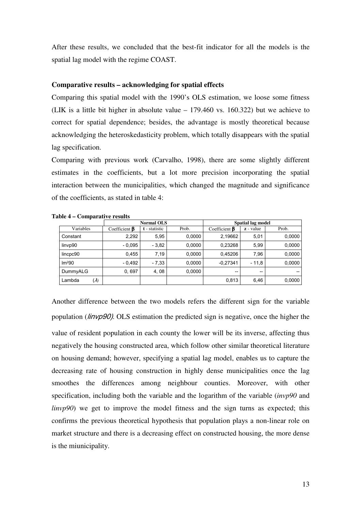After these results, we concluded that the best-fit indicator for all the models is the spatial lag model with the regime COAST.

# **Comparative results – acknowledging for spatial effects**

Comparing this spatial model with the 1990's OLS estimation, we loose some fitness (LIK is a little bit higher in absolute value – 179.460 vs. 160.322) but we achieve to correct for spatial dependence; besides, the advantage is mostly theoretical because acknowledging the heteroskedasticity problem, which totally disappears with the spatial lag specification.

Comparing with previous work (Carvalho, 1998), there are some slightly different estimates in the coefficients, but a lot more precision incorporating the spatial interaction between the municipalities, which changed the magnitude and significance of the coefficients, as stated in table 4:

|                       |                     | <b>Normal OLS</b> |        |                                       | Spatial lag model                     |        |
|-----------------------|---------------------|-------------------|--------|---------------------------------------|---------------------------------------|--------|
| Variables             | Coefficient $\beta$ | $t$ - statistic   | Prob.  | Coefficient $\beta$                   | z - value                             | Prob.  |
| Constant              | 2,292               | 5.95              | 0,0000 | 2,19662                               | 5,01                                  | 0,0000 |
| linvp90               | $-0.095$            | $-3.82$           | 0.0000 | 0.23268                               | 5,99                                  | 0,0000 |
| lincpc90              | 0.455               | 7,19              | 0.0000 | 0.45206                               | 7,96                                  | 0,0000 |
| Im <sup>2</sup> 90    | $-0.492$            | $-7,33$           | 0.0000 | $-0.27341$                            | $-11.8$                               | 0,0000 |
| DummyALG              | 0,697               | 4,08              | 0.0000 | $\hspace{0.05cm}$ – $\hspace{0.05cm}$ | $\hspace{0.05cm}$ – $\hspace{0.05cm}$ | --     |
| $(\lambda)$<br>Lambda |                     |                   |        | 0,813                                 | 6,46                                  | 0,0000 |

**Table 4 – Comparative results** 

Another difference between the two models refers the different sign for the variable population (*linvp90*). OLS estimation the predicted sign is negative, once the higher the value of resident population in each county the lower will be its inverse, affecting thus negatively the housing constructed area, which follow other similar theoretical literature on housing demand; however, specifying a spatial lag model, enables us to capture the decreasing rate of housing construction in highly dense municipalities once the lag smoothes the differences among neighbour counties. Moreover, with other specification, including both the variable and the logarithm of the variable (*invp90* and *linvp90*) we get to improve the model fitness and the sign turns as expected; this confirms the previous theoretical hypothesis that population plays a non-linear role on market structure and there is a decreasing effect on constructed housing, the more dense is the miunicipality.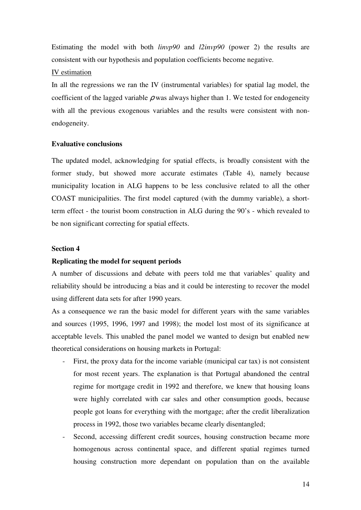Estimating the model with both *linvp90* and *l2invp90* (power 2) the results are consistent with our hypothesis and population coefficients become negative.

# IV estimation

In all the regressions we ran the IV (instrumental variables) for spatial lag model, the coefficient of the lagged variable  $\rho$  was always higher than 1. We tested for endogeneity with all the previous exogenous variables and the results were consistent with nonendogeneity.

# **Evaluative conclusions**

The updated model, acknowledging for spatial effects, is broadly consistent with the former study, but showed more accurate estimates (Table 4), namely because municipality location in ALG happens to be less conclusive related to all the other COAST municipalities. The first model captured (with the dummy variable), a shortterm effect - the tourist boom construction in ALG during the 90's - which revealed to be non significant correcting for spatial effects.

# **Section 4**

# **Replicating the model for sequent periods**

A number of discussions and debate with peers told me that variables' quality and reliability should be introducing a bias and it could be interesting to recover the model using different data sets for after 1990 years.

As a consequence we ran the basic model for different years with the same variables and sources (1995, 1996, 1997 and 1998); the model lost most of its significance at acceptable levels. This unabled the panel model we wanted to design but enabled new theoretical considerations on housing markets in Portugal:

- First, the proxy data for the income variable (municipal car tax) is not consistent for most recent years. The explanation is that Portugal abandoned the central regime for mortgage credit in 1992 and therefore, we knew that housing loans were highly correlated with car sales and other consumption goods, because people got loans for everything with the mortgage; after the credit liberalization process in 1992, those two variables became clearly disentangled;
- Second, accessing different credit sources, housing construction became more homogenous across continental space, and different spatial regimes turned housing construction more dependant on population than on the available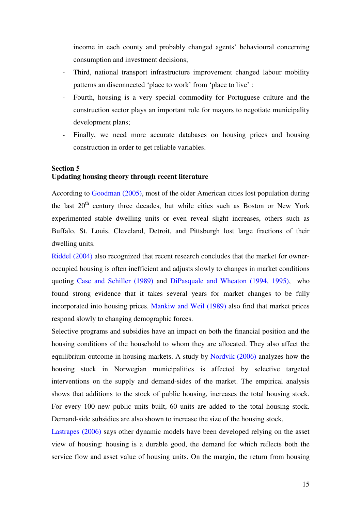income in each county and probably changed agents' behavioural concerning consumption and investment decisions;

- Third, national transport infrastructure improvement changed labour mobility patterns an disconnected 'place to work' from 'place to live' :
- Fourth, housing is a very special commodity for Portuguese culture and the construction sector plays an important role for mayors to negotiate municipality development plans;
- Finally, we need more accurate databases on housing prices and housing construction in order to get reliable variables.

# **Section 5 Updating housing theory through recent literature**

According to Goodman (2005), most of the older American cities lost population during the last  $20<sup>th</sup>$  century three decades, but while cities such as Boston or New York experimented stable dwelling units or even reveal slight increases, others such as Buffalo, St. Louis, Cleveland, Detroit, and Pittsburgh lost large fractions of their dwelling units.

Riddel (2004) also recognized that recent research concludes that the market for owneroccupied housing is often inefficient and adjusts slowly to changes in market conditions quoting Case and Schiller (1989) and DiPasquale and Wheaton (1994, 1995), who found strong evidence that it takes several years for market changes to be fully incorporated into housing prices. Mankiw and Weil (1989) also find that market prices respond slowly to changing demographic forces.

Selective programs and subsidies have an impact on both the financial position and the housing conditions of the household to whom they are allocated. They also affect the equilibrium outcome in housing markets. A study by Nordvik (2006) analyzes how the housing stock in Norwegian municipalities is affected by selective targeted interventions on the supply and demand-sides of the market. The empirical analysis shows that additions to the stock of public housing, increases the total housing stock. For every 100 new public units built, 60 units are added to the total housing stock. Demand-side subsidies are also shown to increase the size of the housing stock.

Lastrapes (2006) says other dynamic models have been developed relying on the asset view of housing: housing is a durable good, the demand for which reflects both the service flow and asset value of housing units. On the margin, the return from housing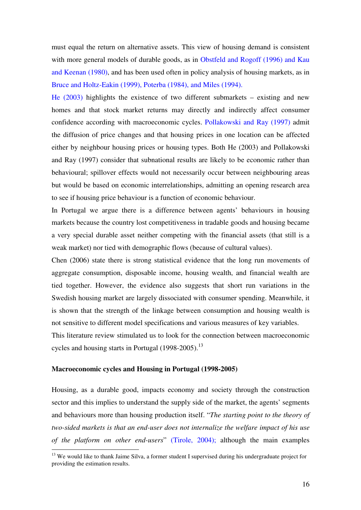must equal the return on alternative assets. This view of housing demand is consistent with more general models of durable goods, as in Obstfeld and Rogoff (1996) and Kau and Keenan (1980), and has been used often in policy analysis of housing markets, as in Bruce and Holtz-Eakin (1999), Poterba (1984), and Miles (1994).

He  $(2003)$  highlights the existence of two different submarkets – existing and new homes and that stock market returns may directly and indirectly affect consumer confidence according with macroeconomic cycles. Pollakowski and Ray (1997) admit the diffusion of price changes and that housing prices in one location can be affected either by neighbour housing prices or housing types. Both He (2003) and Pollakowski and Ray (1997) consider that subnational results are likely to be economic rather than behavioural; spillover effects would not necessarily occur between neighbouring areas but would be based on economic interrelationships, admitting an opening research area to see if housing price behaviour is a function of economic behaviour.

In Portugal we argue there is a difference between agents' behaviours in housing markets because the country lost competitiveness in tradable goods and housing became a very special durable asset neither competing with the financial assets (that still is a weak market) nor tied with demographic flows (because of cultural values).

Chen (2006) state there is strong statistical evidence that the long run movements of aggregate consumption, disposable income, housing wealth, and financial wealth are tied together. However, the evidence also suggests that short run variations in the Swedish housing market are largely dissociated with consumer spending. Meanwhile, it is shown that the strength of the linkage between consumption and housing wealth is not sensitive to different model specifications and various measures of key variables.

This literature review stimulated us to look for the connection between macroeconomic cycles and housing starts in Portugal (1998-2005).<sup>13</sup>

#### **Macroeconomic cycles and Housing in Portugal (1998-2005)**

 $\overline{a}$ 

Housing, as a durable good, impacts economy and society through the construction sector and this implies to understand the supply side of the market, the agents' segments and behaviours more than housing production itself. "*The starting point to the theory of two-sided markets is that an end-user does not internalize the welfare impact of his use of the platform on other end-users*" (Tirole, 2004); although the main examples

<sup>&</sup>lt;sup>13</sup> We would like to thank Jaime Silva, a former student I supervised during his undergraduate project for providing the estimation results.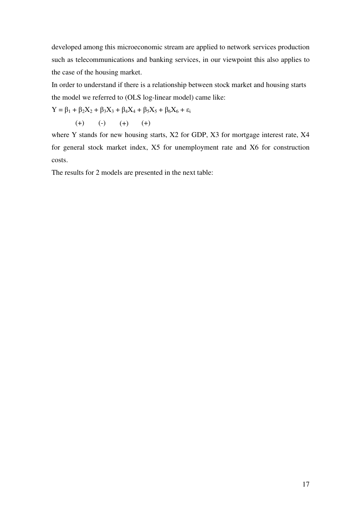developed among this microeconomic stream are applied to network services production such as telecommunications and banking services, in our viewpoint this also applies to the case of the housing market.

In order to understand if there is a relationship between stock market and housing starts the model we referred to (OLS log-linear model) came like:

 $Y = \beta_1 + \beta_2 X_2 + \beta_3 X_3 + \beta_4 X_4 + \beta_5 X_5 + \beta_6 X_6 + \varepsilon_i$ 

 $(+)$   $(-)$   $(+)$   $(+)$ 

where Y stands for new housing starts, X2 for GDP, X3 for mortgage interest rate, X4 for general stock market index, X5 for unemployment rate and X6 for construction costs.

The results for 2 models are presented in the next table: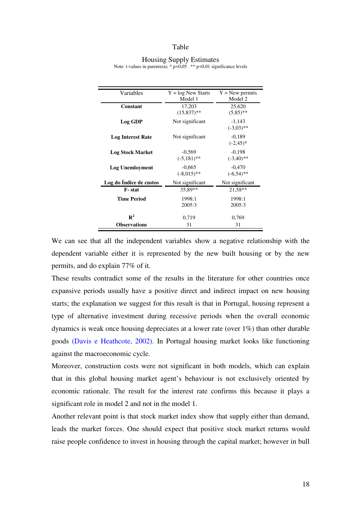#### Table

| Variables                | $Y = \log New Stars$<br>Model 1 | $Y = New$ permits<br>Model 2 |
|--------------------------|---------------------------------|------------------------------|
| <b>Constant</b>          | 17,203<br>$(15.837)$ **         | 25,620<br>$(5,85)$ **        |
| <b>Log GDP</b>           | Not significant                 | $-1,143$<br>$(-3,03)$ **     |
| <b>Log Interest Rate</b> | Not significant                 | $-0.189$<br>$(-2, 45)^*$     |
| <b>Log Stock Market</b>  | $-0,569$<br>$(-5.181)$ **       | $-0.198$<br>$(-3,40)$ **     |
| <b>Log Unemloyment</b>   | $-0.665$<br>$(-8,015)$ **       | $-0,470$<br>$(-6,54)$ **     |
| Log do Indice de custos  | Not significant                 | Not significant              |
| F-stat                   | 35.89**                         | 21,58**                      |
| <b>Time Period</b>       | 1998:1<br>2005:3                | 1998:1<br>2005:3             |
| $\mathbf{R}^2$           | 0,719                           | 0,769                        |
| <b>Observations</b>      | 31                              | 31                           |

Housing Supply Estimates

Note: t-values in parentesis;  $* p \le 0.05$   $** p \le 0.01$  significance levels

We can see that all the independent variables show a negative relationship with the dependent variable either it is represented by the new built housing or by the new permits, and do explain 77% of it.

These results contradict some of the results in the literature for other countries once expansive periods usually have a positive direct and indirect impact on new housing starts; the explanation we suggest for this result is that in Portugal, housing represent a type of alternative investment during recessive periods when the overall economic dynamics is weak once housing depreciates at a lower rate (over 1%) than other durable goods (Davis e Heathcote, 2002). In Portugal housing market looks like functioning against the macroeconomic cycle.

Moreover, construction costs were not significant in both models, which can explain that in this global housing market agent's behaviour is not exclusively oriented by economic rationale. The result for the interest rate confirms this because it plays a significant role in model 2 and not in the model 1.

Another relevant point is that stock market index show that supply either than demand, leads the market forces. One should expect that positive stock market returns would raise people confidence to invest in housing through the capital market; however in bull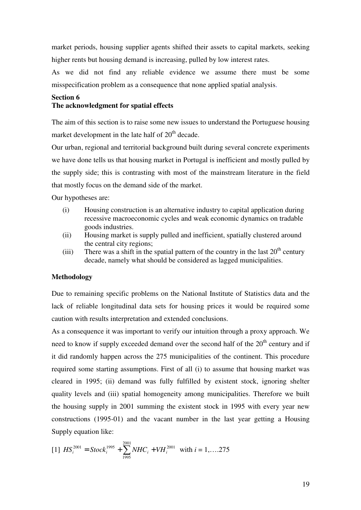market periods, housing supplier agents shifted their assets to capital markets, seeking higher rents but housing demand is increasing, pulled by low interest rates.

As we did not find any reliable evidence we assume there must be some misspecification problem as a consequence that none applied spatial analysis.

# **Section 6 The acknowledgment for spatial effects**

The aim of this section is to raise some new issues to understand the Portuguese housing market development in the late half of  $20<sup>th</sup>$  decade.

Our urban, regional and territorial background built during several concrete experiments we have done tells us that housing market in Portugal is inefficient and mostly pulled by the supply side; this is contrasting with most of the mainstream literature in the field that mostly focus on the demand side of the market.

Our hypotheses are:

- (i) Housing construction is an alternative industry to capital application during recessive macroeconomic cycles and weak economic dynamics on tradable goods industries.
- (ii) Housing market is supply pulled and inefficient, spatially clustered around the central city regions;
- (iii) There was a shift in the spatial pattern of the country in the last  $20<sup>th</sup>$  century decade, namely what should be considered as lagged municipalities.

# **Methodology**

Due to remaining specific problems on the National Institute of Statistics data and the lack of reliable longitudinal data sets for housing prices it would be required some caution with results interpretation and extended conclusions.

As a consequence it was important to verify our intuition through a proxy approach. We need to know if supply exceeded demand over the second half of the  $20<sup>th</sup>$  century and if it did randomly happen across the 275 municipalities of the continent. This procedure required some starting assumptions. First of all (i) to assume that housing market was cleared in 1995; (ii) demand was fully fulfilled by existent stock, ignoring shelter quality levels and (iii) spatial homogeneity among municipalities. Therefore we built the housing supply in 2001 summing the existent stock in 1995 with every year new constructions (1995-01) and the vacant number in the last year getting a Housing Supply equation like:

[1] 
$$
HS_i^{2001} = Stock_i^{1995} + \sum_{1995}^{2001} NHC_i + VH_i^{2001} \text{ with } i = 1,....275
$$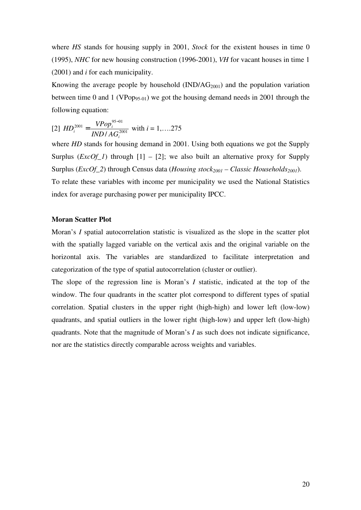where *HS* stands for housing supply in 2001, *Stock* for the existent houses in time 0 (1995), *NHC* for new housing construction (1996-2001), *VH* for vacant houses in time 1 (2001) and *i* for each municipality.

Knowing the average people by household  $(IND/AG_{2001})$  and the population variation between time 0 and 1 (VPop<sub>95-01</sub>) we got the housing demand needs in 2001 through the following equation:

[2] 
$$
HD_i^{2001} = \frac{VPop_i^{95-01}}{IND/AG_i^{2001}}
$$
 with  $i = 1,....275$ 

where *HD* stands for housing demand in 2001. Using both equations we got the Supply Surplus (*ExcOf 1*) through  $[1] - [2]$ ; we also built an alternative proxy for Supply Surplus (*ExcOf\_2*) through Census data (*Housing stock2001 – Classic Households2001*). To relate these variables with income per municipality we used the National Statistics index for average purchasing power per municipality IPCC.

### **Moran Scatter Plot**

Moran's *I* spatial autocorrelation statistic is visualized as the slope in the scatter plot with the spatially lagged variable on the vertical axis and the original variable on the horizontal axis. The variables are standardized to facilitate interpretation and categorization of the type of spatial autocorrelation (cluster or outlier).

The slope of the regression line is Moran's *I* statistic, indicated at the top of the window. The four quadrants in the scatter plot correspond to different types of spatial correlation. Spatial clusters in the upper right (high-high) and lower left (low-low) quadrants, and spatial outliers in the lower right (high-low) and upper left (low-high) quadrants. Note that the magnitude of Moran's *I* as such does not indicate significance, nor are the statistics directly comparable across weights and variables.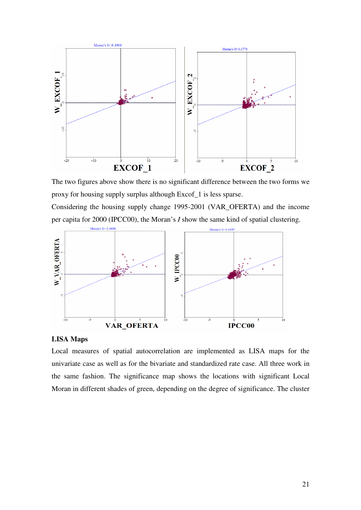

The two figures above show there is no significant difference between the two forms we proxy for housing supply surplus although Excof\_1 is less sparse.

Considering the housing supply change 1995-2001 (VAR\_OFERTA) and the income per capita for 2000 (IPCC00), the Moran's *I* show the same kind of spatial clustering.



# **LISA Maps**

Local measures of spatial autocorrelation are implemented as LISA maps for the univariate case as well as for the bivariate and standardized rate case. All three work in the same fashion. The significance map shows the locations with significant Local Moran in different shades of green, depending on the degree of significance. The cluster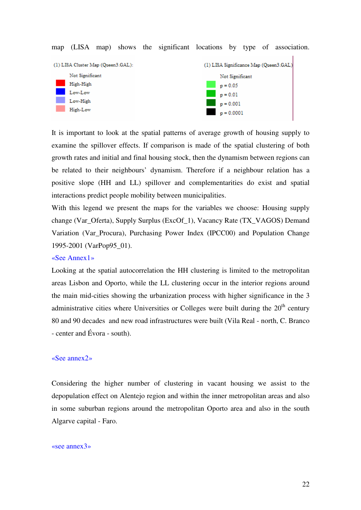

map (LISA map) shows the significant locations by type of association.

It is important to look at the spatial patterns of average growth of housing supply to examine the spillover effects. If comparison is made of the spatial clustering of both growth rates and initial and final housing stock, then the dynamism between regions can be related to their neighbours' dynamism. Therefore if a neighbour relation has a positive slope (HH and LL) spillover and complementarities do exist and spatial interactions predict people mobility between municipalities.

With this legend we present the maps for the variables we choose: Housing supply change (Var\_Oferta), Supply Surplus (ExcOf\_1), Vacancy Rate (TX\_VAGOS) Demand Variation (Var\_Procura), Purchasing Power Index (IPCC00) and Population Change 1995-2001 (VarPop95\_01).

#### «See Annex1»

Looking at the spatial autocorrelation the HH clustering is limited to the metropolitan areas Lisbon and Oporto, while the LL clustering occur in the interior regions around the main mid-cities showing the urbanization process with higher significance in the 3 administrative cities where Universities or Colleges were built during the  $20<sup>th</sup>$  century 80 and 90 decades and new road infrastructures were built (Vila Real - north, C. Branco - center and Évora - south).

#### «See annex2»

Considering the higher number of clustering in vacant housing we assist to the depopulation effect on Alentejo region and within the inner metropolitan areas and also in some suburban regions around the metropolitan Oporto area and also in the south Algarve capital - Faro.

#### «see annex3»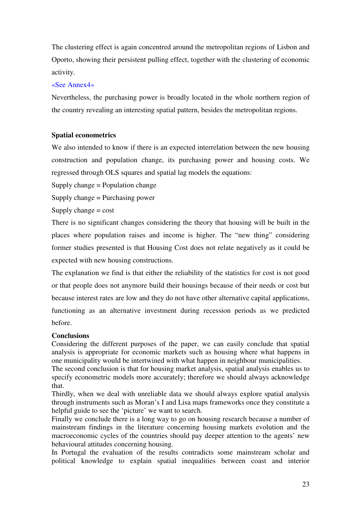The clustering effect is again concentred around the metropolitan regions of Lisbon and Oporto, showing their persistent pulling effect, together with the clustering of economic activity.

# «See Annex4»

Nevertheless, the purchasing power is broadly located in the whole northern region of the country revealing an interesting spatial pattern, besides the metropolitan regions.

# **Spatial econometrics**

We also intended to know if there is an expected interrelation between the new housing construction and population change, its purchasing power and housing costs. We regressed through OLS squares and spatial lag models the equations:

Supply change = Population change

Supply change = Purchasing power

Supply change  $=$  cost

There is no significant changes considering the theory that housing will be built in the places where population raises and income is higher. The "new thing" considering former studies presented is that Housing Cost does not relate negatively as it could be expected with new housing constructions.

The explanation we find is that either the reliability of the statistics for cost is not good or that people does not anymore build their housings because of their needs or cost but because interest rates are low and they do not have other alternative capital applications, functioning as an alternative investment during recession periods as we predicted before.

# **Conclusions**

Considering the different purposes of the paper, we can easily conclude that spatial analysis is appropriate for economic markets such as housing where what happens in one municipality would be intertwined with what happen in neighbour municipalities.

The second conclusion is that for housing market analysis, spatial analysis enables us to specify econometric models more accurately; therefore we should always acknowledge that.

Thirdly, when we deal with unreliable data we should always explore spatial analysis through instruments such as Moran's I and Lisa maps frameworks once they constitute a helpful guide to see the 'picture' we want to search.

Finally we conclude there is a long way to go on housing research because a number of mainstream findings in the literature concerning housing markets evolution and the macroeconomic cycles of the countries should pay deeper attention to the agents' new behavioural attitudes concerning housing.

In Portugal the evaluation of the results contradicts some mainstream scholar and political knowledge to explain spatial inequalities between coast and interior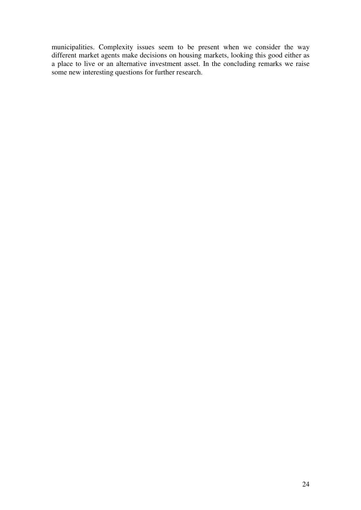municipalities. Complexity issues seem to be present when we consider the way different market agents make decisions on housing markets, looking this good either as a place to live or an alternative investment asset. In the concluding remarks we raise some new interesting questions for further research.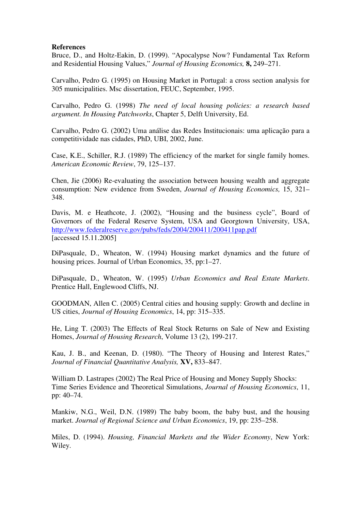# **References**

Bruce, D., and Holtz-Eakin, D. (1999). "Apocalypse Now? Fundamental Tax Reform and Residential Housing Values," *Journal of Housing Economics,* **8,** 249–271.

Carvalho, Pedro G. (1995) on Housing Market in Portugal: a cross section analysis for 305 municipalities. Msc dissertation, FEUC, September, 1995.

Carvalho, Pedro G. (1998) *The need of local housing policies: a research based argument. In Housing Patchworks*, Chapter 5, Delft University, Ed.

Carvalho, Pedro G. (2002) Uma análise das Redes Institucionais: uma aplicação para a competitividade nas cidades, PhD, UBI, 2002, June.

Case, K.E., Schiller, R.J. (1989) The efficiency of the market for single family homes. *American Economic Review*, 79, 125–137.

Chen, Jie (2006) Re-evaluating the association between housing wealth and aggregate consumption: New evidence from Sweden, *Journal of Housing Economics,* 15, 321– 348.

Davis, M. e Heathcote, J. (2002), "Housing and the business cycle", Board of Governors of the Federal Reserve System, USA and Georgtown University, USA, http://www.federalreserve.gov/pubs/feds/2004/200411/200411pap.pdf [accessed 15.11.2005]

DiPasquale, D., Wheaton, W. (1994) Housing market dynamics and the future of housing prices. Journal of Urban Economics, 35, pp:1–27.

DiPasquale, D., Wheaton, W. (1995) *Urban Economics and Real Estate Markets*. Prentice Hall, Englewood Cliffs, NJ.

GOODMAN, Allen C. (2005) Central cities and housing supply: Growth and decline in US cities, *Journal of Housing Economics*, 14, pp: 315–335.

He, Ling T. (2003) The Effects of Real Stock Returns on Sale of New and Existing Homes, *Journal of Housing Research*, Volume 13 (2), 199-217.

Kau, J. B., and Keenan, D. (1980). "The Theory of Housing and Interest Rates," *Journal of Financial Quantitative Analysis,* **XV,** 833–847.

William D. Lastrapes (2002) The Real Price of Housing and Money Supply Shocks: Time Series Evidence and Theoretical Simulations, *Journal of Housing Economics*, 11, pp: 40–74.

Mankiw, N.G., Weil, D.N. (1989) The baby boom, the baby bust, and the housing market. *Journal of Regional Science and Urban Economics*, 19, pp: 235–258.

Miles, D. (1994). *Housing, Financial Markets and the Wider Economy*, New York: Wiley.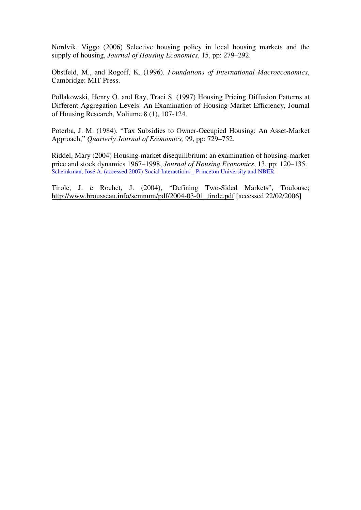Nordvik, Viggo (2006) Selective housing policy in local housing markets and the supply of housing, *Journal of Housing Economics*, 15, pp: 279–292.

Obstfeld, M., and Rogoff, K. (1996). *Foundations of International Macroeconomics*, Cambridge: MIT Press.

Pollakowski, Henry O. and Ray, Traci S. (1997) Housing Pricing Diffusion Patterns at Different Aggregation Levels: An Examination of Housing Market Efficiency, Journal of Housing Research, Voliume 8 (1), 107-124.

Poterba, J. M. (1984). "Tax Subsidies to Owner-Occupied Housing: An Asset-Market Approach," *Quarterly Journal of Economics,* 99, pp: 729–752.

Riddel, Mary (2004) Housing-market disequilibrium: an examination of housing-market price and stock dynamics 1967–1998, *Journal of Housing Economics*, 13, pp: 120–135. Scheinkman, José A. (accessed 2007) Social Interactions \_ Princeton University and NBER.

Tirole, J. e Rochet, J. (2004), "Defining Two-Sided Markets", Toulouse; http://www.brousseau.info/semnum/pdf/2004-03-01\_tirole.pdf [accessed 22/02/2006]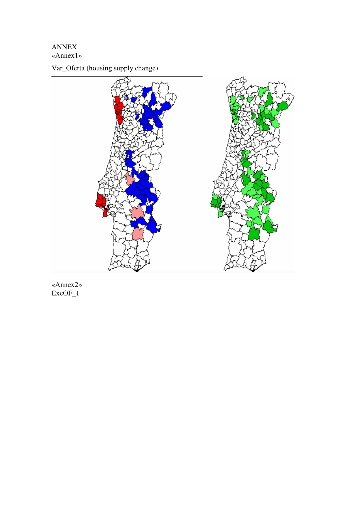# ANNEX «Annex1»

Var\_Oferta (housing supply change)



«Annex2» ExcOF\_1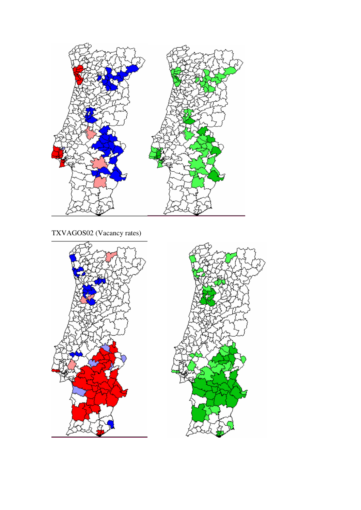

TXVAGOS02 (Vacancy rates)

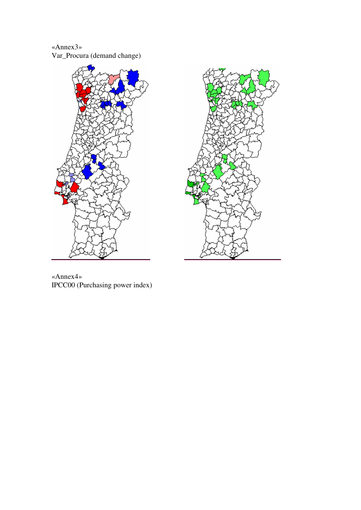«Annex3» Var\_Procura (demand change)





«Annex4» IPCC00 (Purchasing power index)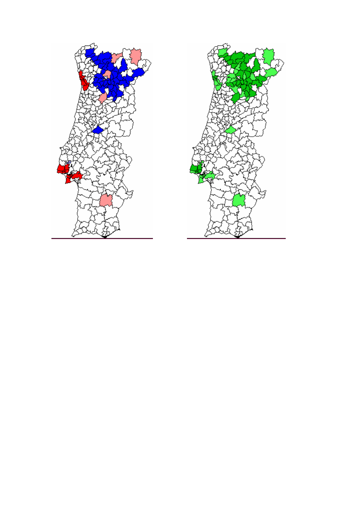

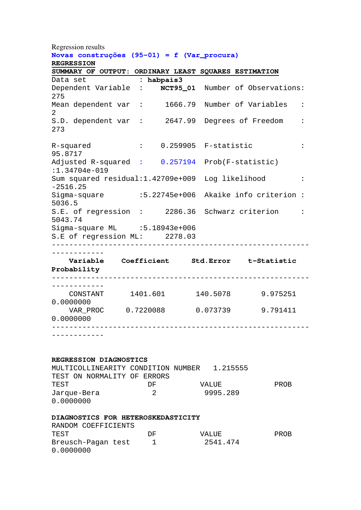Regression results **Novas construções (95-01) = f (Var\_procura) REGRESSION SUMMARY OF OUTPUT: ORDINARY LEAST SQUARES ESTIMATION**  Data set : **habpais3**  Dependent Variable : **NCT95\_01** Number of Observations: 275 Mean dependent var : 1666.79 Number of Variables : 2 S.D. dependent var : 2647.99 Degrees of Freedom : 273 R-squared : 0.259905 F-statistic : 95.8717 Adjusted R-squared : 0.257194 Prob(F-statistic) :1.34704e-019 Sum squared residual:1.42709e+009 Log likelihood : -2516.25 Sigma-square :5.22745e+006 Akaike info criterion : 5036.5 S.E. of regression : 2286.36 Schwarz criterion : 5043.74 Sigma-square ML :5.18943e+006 S.E of regression ML: 2278.03 ----------------------------------------------------------- ------------

| Variable<br>Probability | Coefficient | Std.Error | t-Statistic |
|-------------------------|-------------|-----------|-------------|
|                         |             |           |             |
| CONSTANT<br>0.0000000   | 1401.601    | 140.5078  | 9.975251    |
| VAR PROC<br>0.0000000   | 0.7220088   | 0.073739  | 9.791411    |
|                         |             |           |             |

#### **REGRESSION DIAGNOSTICS**

MULTICOLLINEARITY CONDITION NUMBER 1.215555 TEST ON NORMALITY OF ERRORS TEST DF VALUE PROB Jarque-Bera 2 9995.289 0.0000000

#### **DIAGNOSTICS FOR HETEROSKEDASTICITY**

| RANDOM COEFFICIENTS |    |          |      |
|---------------------|----|----------|------|
| TEST                | DЕ | VALUE    | PROB |
| Breusch-Pagan test  |    | 2541.474 |      |
| 0.0000000           |    |          |      |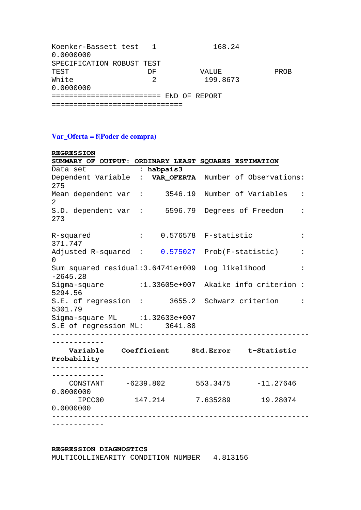Koenker-Bassett test 1 168.24 0.0000000 SPECIFICATION ROBUST TEST TEST DF VALUE PROB White 2 199.8673 0.0000000 ========================= END OF REPORT ==============================

# **Var\_Oferta = f(Poder de compra)**

| <b>REGRESSION</b>                                              |            |                                   |                |                                   |  |  |
|----------------------------------------------------------------|------------|-----------------------------------|----------------|-----------------------------------|--|--|
| SUMMARY OF OUTPUT: ORDINARY LEAST SQUARES ESTIMATION           |            |                                   |                |                                   |  |  |
| Data set                                                       |            | : habpais3                        |                |                                   |  |  |
| Dependent Variable : VAR_OFERTA<br>275                         |            |                                   |                | Number of Observations:           |  |  |
| Mean dependent var<br>2                                        | $\sim 100$ | 3546.19                           |                | Number of Variables               |  |  |
| S.D. dependent var : 5596.79<br>273                            |            |                                   |                | Degrees of Freedom                |  |  |
| R-squared<br>371.747                                           |            | $\therefore$ 0.576578 F-statistic |                |                                   |  |  |
| Adjusted R-squared : 0.575027<br>0                             |            |                                   |                | Prob(F-statistic)                 |  |  |
| Sum squared residual:3.64741e+009<br>$-2645.28$                |            |                                   | Log likelihood |                                   |  |  |
| Sigma-square<br>5294.56                                        |            | $:1.33605e+007$                   |                | Akaike info criterion:            |  |  |
| S.E. of regression : 3655.2 Schwarz criterion<br>5301.79       |            |                                   |                |                                   |  |  |
| Sigma-square ML :1.32633e+007<br>S.E of regression ML: 3641.88 |            |                                   |                |                                   |  |  |
| Variable<br>Probability                                        |            |                                   |                | Coefficient Std.Error t-Statistic |  |  |
| - - - - - - - - - - .<br>$CONSTANT$ $-6239.802$                |            |                                   |                |                                   |  |  |
| 0.0000000                                                      |            |                                   |                | 553.3475 -11.27646                |  |  |
| IPCC00<br>0.0000000                                            |            | 147.214                           | 7.635289       | 19.28074                          |  |  |
| ----------                                                     |            |                                   |                |                                   |  |  |

#### **REGRESSION DIAGNOSTICS**

MULTICOLLINEARITY CONDITION NUMBER 4.813156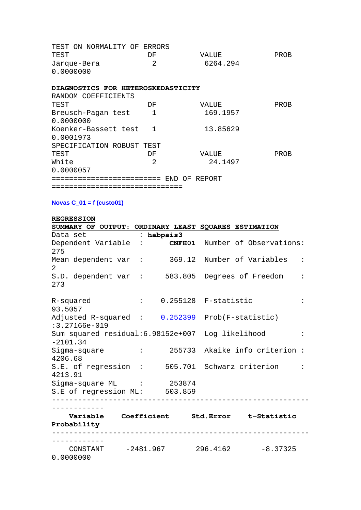TEST ON NORMALITY OF ERRORS TEST DF VALUE PROB Jarque-Bera 2 6264.294 0.0000000

#### **DIAGNOSTICS FOR HETEROSKEDASTICITY**

| RANDOM COEFFICIENTS               |    |                   |      |
|-----------------------------------|----|-------------------|------|
| TEST                              | DF | VALUE             | PROB |
| Breusch-Pagan test<br>0.0000000   |    | 169.1957          |      |
| Koenker-Bassett test<br>0.0001973 |    | 13.85629          |      |
| SPECIFICATION ROBUST TEST         |    |                   |      |
| TEST                              | DF | VALUE             | PROB |
| White                             | 2  | 24.1497           |      |
| 0.0000057                         |    |                   |      |
|                                   |    | OF REPORT<br>END. |      |
|                                   |    |                   |      |

# **Novas C\_01 = f (custo01)**

| <b>REGRESSION</b>                                         |                                 |                        |                         |                |
|-----------------------------------------------------------|---------------------------------|------------------------|-------------------------|----------------|
| SUMMARY OF OUTPUT: ORDINARY LEAST SQUARES ESTIMATION      |                                 |                        |                         |                |
| Data set                                                  | : habpais3                      |                        |                         |                |
| Dependent Variable : <b>CNFH01</b><br>275                 |                                 |                        | Number of Observations: |                |
| Mean dependent var :<br>2                                 | 369.12                          |                        | Number of Variables     | $\ddot{\cdot}$ |
| S.D. dependent var : 583.805<br>273                       |                                 |                        | Degrees of Freedom      |                |
| R-squared<br>93.5057                                      | $\mathbf{1}$ , and $\mathbf{1}$ | $0.255128$ F-statistic |                         |                |
| Adjusted R-squared : $0.252399$<br>$:3.27166e-019$        |                                 |                        | Prob(F-statistic)       |                |
| Sum squared residual:6.98152e+007<br>$-2101.34$           |                                 |                        | Log likelihood          |                |
| Sigma-square : 255733 Akaike info criterion :<br>4206.68  |                                 |                        |                         |                |
| S.E. of regression : 505.701 Schwarz criterion<br>4213.91 |                                 |                        |                         |                |
| Sigma-square ML : 253874                                  |                                 |                        |                         |                |
| S.E of regression ML: 503.859                             |                                 |                        |                         |                |
| Variable Coefficient Std.Error t-Statistic                |                                 |                        |                         |                |
| Probability                                               |                                 |                        |                         |                |
| CONSTANT -2481.967<br>0.0000000                           |                                 | 296.4162               | $-8.37325$              |                |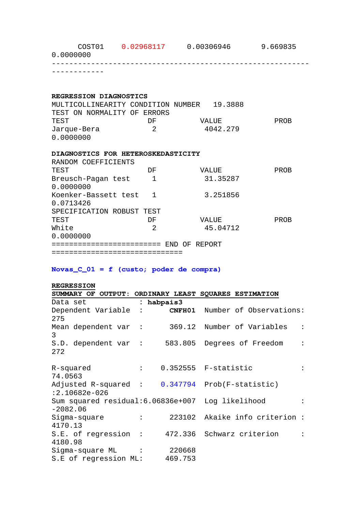|           | COST01 0.02968117 | 0.00306946 | 9.669835 |
|-----------|-------------------|------------|----------|
| 0.0000000 |                   |            |          |
|           |                   |            |          |
|           |                   |            |          |

## **REGRESSION DIAGNOSTICS**

| MULTICOLLINEARITY CONDITION NUMBER |    | 19.3888  |      |
|------------------------------------|----|----------|------|
| TEST ON NORMALITY OF ERRORS        |    |          |      |
| TEST                               | DF | VALUE.   | PROB |
| Jarque-Bera                        | 2  | 4042.279 |      |
| 0.0000000                          |    |          |      |

## **DIAGNOSTICS FOR HETEROSKEDASTICITY**

| RANDOM COEFFICIENTS       |    |                       |      |
|---------------------------|----|-----------------------|------|
| TEST                      | DF | VALUE                 | PROB |
| Breusch-Pagan test        |    | 31.35287              |      |
| 0.0000000                 |    |                       |      |
| Koenker-Bassett test      | 1  | 3.251856              |      |
| 0.0713426                 |    |                       |      |
| SPECIFICATION ROBUST TEST |    |                       |      |
| TEST                      | DF | VALUE                 | PROB |
| White                     | 2  | 45.04712              |      |
| 0.0000000                 |    |                       |      |
|                           |    | REPORT<br>OF.<br>END. |      |
|                           |    |                       |      |

# **Novas\_C\_01 = f (custo; poder de compra)**

| <b>REGRESSION</b>                                                                                                    |  |                |                                                 |                |  |
|----------------------------------------------------------------------------------------------------------------------|--|----------------|-------------------------------------------------|----------------|--|
| SUMMARY OF OUTPUT: ORDINARY LEAST SQUARES ESTIMATION                                                                 |  |                |                                                 |                |  |
| : habpais3<br>Data set                                                                                               |  |                |                                                 |                |  |
| Dependent Variable :<br>275                                                                                          |  | ${\tt CNFH01}$ | Number of Observations:                         |                |  |
| Mean dependent var :<br>3                                                                                            |  |                | 369.12 Number of Variables                      |                |  |
| 272                                                                                                                  |  |                | S.D. dependent var : 583.805 Degrees of Freedom |                |  |
| $\mathcal{L}^{\text{max}}_{\text{max}}$ . The set of $\mathcal{L}^{\text{max}}_{\text{max}}$<br>R-squared<br>74.0563 |  |                | $0.352555$ F-statistic                          | $\ddot{\cdot}$ |  |
| Adjusted R-squared : 0.347794 Prob(F-statistic)<br>$: 2.10682e - 026$                                                |  |                |                                                 |                |  |
| Sum squared residual:6.06836e+007 Log likelihood<br>$-2082.06$                                                       |  |                |                                                 |                |  |
| Sigma-square<br>4170.13                                                                                              |  |                | 223102 Akaike info criterion:                   |                |  |
| 4180.98                                                                                                              |  |                | S.E. of regression : 472.336 Schwarz criterion  |                |  |
| Sigma-square ML                                                                                                      |  | 220668         |                                                 |                |  |
| S.E of regression ML: 469.753                                                                                        |  |                |                                                 |                |  |